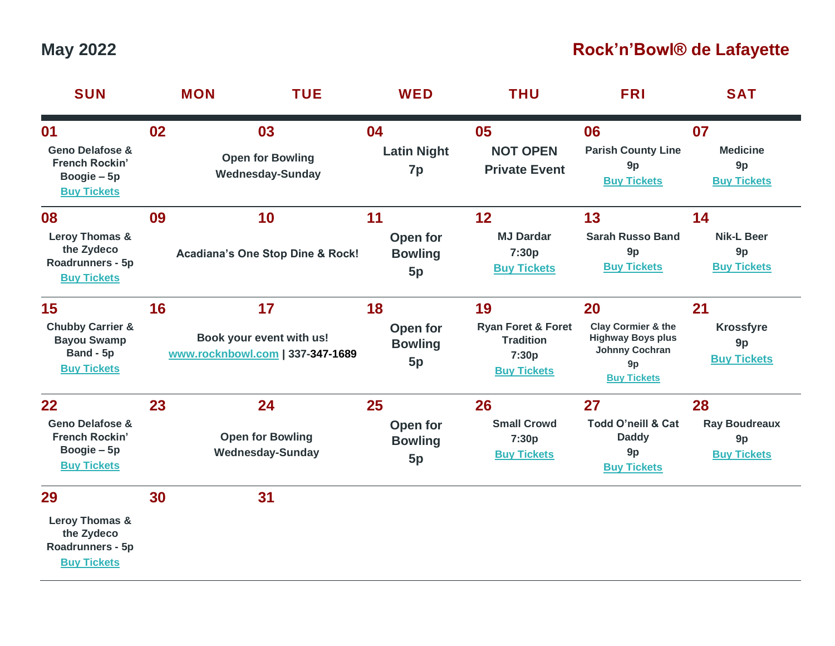## **May 2022 Rock'n'Bowl® de Lafayette**

| <b>SUN</b>                                                                                     |    | <b>MON</b><br><b>TUE</b>                                           | <b>WED</b>                             | <b>THU</b>                                                                             | <b>FRI</b>                                                                                                           | <b>SAT</b>                                                     |
|------------------------------------------------------------------------------------------------|----|--------------------------------------------------------------------|----------------------------------------|----------------------------------------------------------------------------------------|----------------------------------------------------------------------------------------------------------------------|----------------------------------------------------------------|
| 01<br><b>Geno Delafose &amp;</b><br><b>French Rockin'</b><br>Boogie – 5p<br><b>Buy Tickets</b> | 02 | 03<br><b>Open for Bowling</b><br><b>Wednesday-Sunday</b>           | 04<br><b>Latin Night</b><br>7p         | 05<br><b>NOT OPEN</b><br><b>Private Event</b>                                          | 06<br><b>Parish County Line</b><br>9 <sub>p</sub><br><b>Buy Tickets</b>                                              | 07<br><b>Medicine</b><br>9p<br><b>Buy Tickets</b>              |
| 08<br>Leroy Thomas &<br>the Zydeco<br>Roadrunners - 5p<br><b>Buy Tickets</b>                   | 09 | 10<br><b>Acadiana's One Stop Dine &amp; Rock!</b>                  | 11<br>Open for<br><b>Bowling</b><br>5p | 12<br><b>MJ Dardar</b><br>7:30p<br><b>Buy Tickets</b>                                  | 13<br><b>Sarah Russo Band</b><br>9p<br><b>Buy Tickets</b>                                                            | 14<br><b>Nik-L Beer</b><br>9p<br><b>Buy Tickets</b>            |
| 15<br><b>Chubby Carrier &amp;</b><br><b>Bayou Swamp</b><br>Band - 5p<br><b>Buy Tickets</b>     | 16 | 17<br>Book your event with us!<br>www.rocknbowl.com   337-347-1689 | 18<br>Open for<br><b>Bowling</b><br>5p | 19<br><b>Ryan Foret &amp; Foret</b><br><b>Tradition</b><br>7:30p<br><b>Buy Tickets</b> | 20<br><b>Clay Cormier &amp; the</b><br><b>Highway Boys plus</b><br><b>Johnny Cochran</b><br>9p<br><b>Buy Tickets</b> | 21<br><b>Krossfyre</b><br>9 <sub>p</sub><br><b>Buy Tickets</b> |
| 22<br><b>Geno Delafose &amp;</b><br><b>French Rockin'</b><br>Boogie – 5p<br><b>Buy Tickets</b> | 23 | 24<br><b>Open for Bowling</b><br><b>Wednesday-Sunday</b>           | 25<br>Open for<br><b>Bowling</b><br>5p | 26<br><b>Small Crowd</b><br>7:30p<br><b>Buy Tickets</b>                                | 27<br><b>Todd O'neill &amp; Cat</b><br><b>Daddy</b><br>9p<br><b>Buy Tickets</b>                                      | 28<br><b>Ray Boudreaux</b><br>9p<br><b>Buy Tickets</b>         |
| 29<br>Leroy Thomas &<br>the Zydeco<br>Roadrunners - 5p<br><b>Buy Tickets</b>                   | 30 | 31                                                                 |                                        |                                                                                        |                                                                                                                      |                                                                |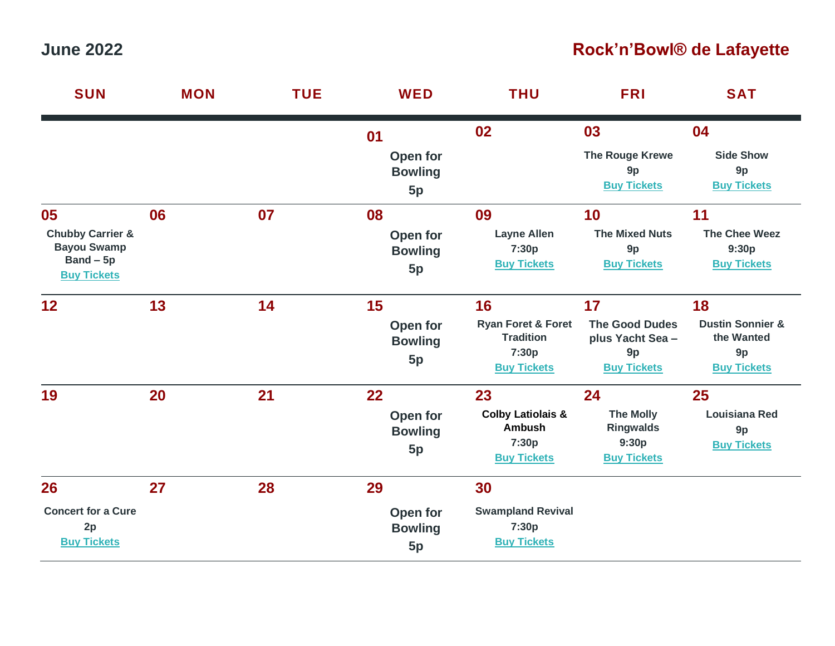## **June 2022 Rock'n'Bowl® de Lafayette**

| <b>SUN</b>                                                                                   | <b>MON</b> | <b>TUE</b> | <b>WED</b>                             | <b>THU</b>                                                                             | <b>FRI</b>                                                                  | <b>SAT</b>                                                                  |
|----------------------------------------------------------------------------------------------|------------|------------|----------------------------------------|----------------------------------------------------------------------------------------|-----------------------------------------------------------------------------|-----------------------------------------------------------------------------|
|                                                                                              |            |            | 01                                     | 02                                                                                     | 03                                                                          | 04                                                                          |
|                                                                                              |            |            | Open for<br><b>Bowling</b><br>5p       |                                                                                        | The Rouge Krewe<br>9p<br><b>Buy Tickets</b>                                 | <b>Side Show</b><br>9p<br><b>Buy Tickets</b>                                |
| 05<br><b>Chubby Carrier &amp;</b><br><b>Bayou Swamp</b><br>$Band - 5p$<br><b>Buy Tickets</b> | 06         | 07         | 08<br>Open for<br><b>Bowling</b><br>5p | 09<br><b>Layne Allen</b><br>7:30p<br><b>Buy Tickets</b>                                | 10<br><b>The Mixed Nuts</b><br>9p<br><b>Buy Tickets</b>                     | 11<br><b>The Chee Weez</b><br>9:30p<br><b>Buy Tickets</b>                   |
| 12                                                                                           | 13         | 14         | 15<br>Open for<br><b>Bowling</b><br>5p | 16<br><b>Ryan Foret &amp; Foret</b><br><b>Tradition</b><br>7:30p<br><b>Buy Tickets</b> | 17<br><b>The Good Dudes</b><br>plus Yacht Sea -<br>9p<br><b>Buy Tickets</b> | 18<br><b>Dustin Sonnier &amp;</b><br>the Wanted<br>9p<br><b>Buy Tickets</b> |
| 19                                                                                           | 20         | 21         | 22<br>Open for<br><b>Bowling</b><br>5p | 23<br><b>Colby Latiolais &amp;</b><br><b>Ambush</b><br>7:30p<br><b>Buy Tickets</b>     | 24<br><b>The Molly</b><br><b>Ringwalds</b><br>9:30p<br><b>Buy Tickets</b>   | 25<br><b>Louisiana Red</b><br>9p<br><b>Buy Tickets</b>                      |
| 26                                                                                           | 27         | 28         | 29                                     | 30                                                                                     |                                                                             |                                                                             |
| <b>Concert for a Cure</b><br>2p<br><b>Buy Tickets</b>                                        |            |            | Open for<br><b>Bowling</b><br>5p       | <b>Swampland Revival</b><br>7:30p<br><b>Buy Tickets</b>                                |                                                                             |                                                                             |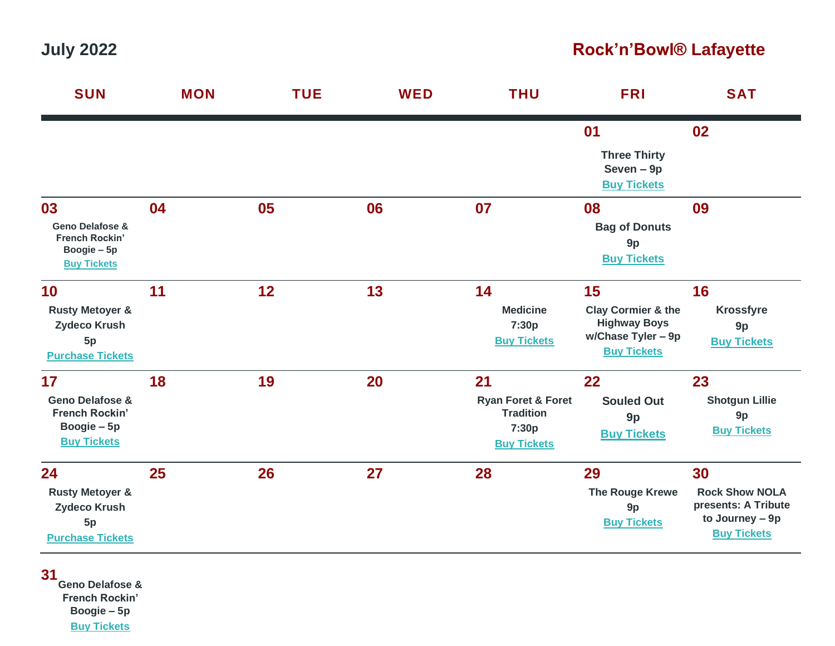## **July 2022 Rock'n'Bowl® Lafayette**

| <b>SUN</b>                                                                                     | <b>MON</b> | <b>TUE</b> | <b>WED</b> | <b>THU</b>                                                                             | <b>FRI</b>                                                                                             | <b>SAT</b>                                                                                  |
|------------------------------------------------------------------------------------------------|------------|------------|------------|----------------------------------------------------------------------------------------|--------------------------------------------------------------------------------------------------------|---------------------------------------------------------------------------------------------|
|                                                                                                |            |            |            |                                                                                        | 01                                                                                                     | 02                                                                                          |
|                                                                                                |            |            |            |                                                                                        | <b>Three Thirty</b><br>Seven - 9p<br><b>Buy Tickets</b>                                                |                                                                                             |
| 03<br><b>Geno Delafose &amp;</b><br>French Rockin'<br>Boogie - 5p<br><b>Buy Tickets</b>        | 04         | 05         | 06         | 07                                                                                     | 08<br><b>Bag of Donuts</b><br>9p<br><b>Buy Tickets</b>                                                 | 09                                                                                          |
| 10<br><b>Rusty Metoyer &amp;</b><br><b>Zydeco Krush</b><br>5p<br><b>Purchase Tickets</b>       | 11         | 12         | 13         | 14<br><b>Medicine</b><br>7:30p<br><b>Buy Tickets</b>                                   | 15<br><b>Clay Cormier &amp; the</b><br><b>Highway Boys</b><br>w/Chase Tyler - 9p<br><b>Buy Tickets</b> | 16<br><b>Krossfyre</b><br>9p<br><b>Buy Tickets</b>                                          |
| 17<br><b>Geno Delafose &amp;</b><br><b>French Rockin'</b><br>Boogie – 5p<br><b>Buy Tickets</b> | 18         | 19         | 20         | 21<br><b>Ryan Foret &amp; Foret</b><br><b>Tradition</b><br>7:30p<br><b>Buy Tickets</b> | 22<br><b>Souled Out</b><br>9p<br><b>Buy Tickets</b>                                                    | 23<br><b>Shotgun Lillie</b><br>9p<br><b>Buy Tickets</b>                                     |
| 24<br><b>Rusty Metoyer &amp;</b><br>Zydeco Krush<br>5p<br><b>Purchase Tickets</b>              | 25         | 26         | 27         | 28                                                                                     | 29<br><b>The Rouge Krewe</b><br>9p<br><b>Buy Tickets</b>                                               | 30<br><b>Rock Show NOLA</b><br>presents: A Tribute<br>to Journey - 9p<br><b>Buy Tickets</b> |

**31 Geno Delafose & French Rockin' Boogie – 5p [Buy Tickets](https://www.rocknbowl.com/events/geno-delafose-french-rockin-boogie-7-31-22)**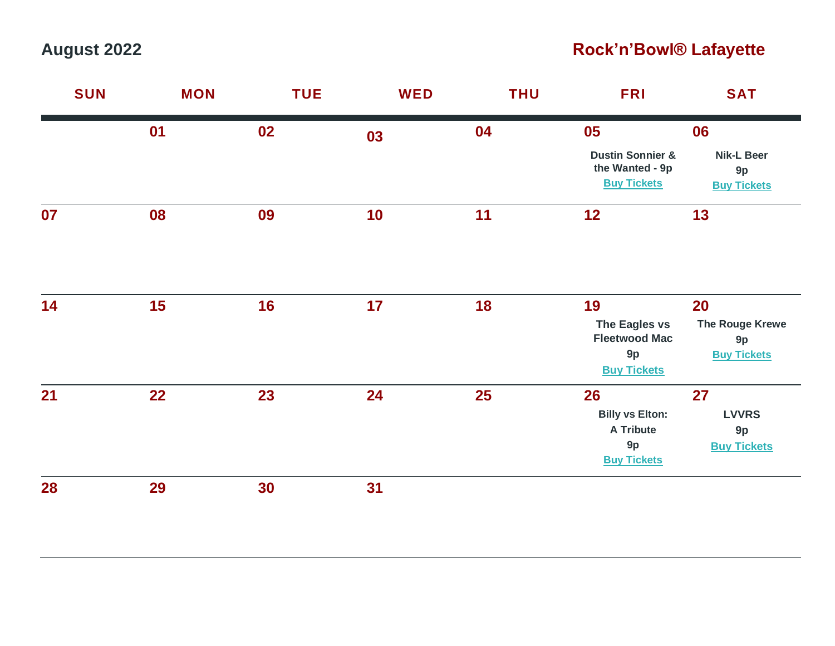# **August 2022 Rock'n'Bowl® Lafayette**

| <b>SUN</b> | <b>MON</b> | <b>TUE</b> | <b>WED</b> | <b>THU</b> | <b>FRI</b>                                                                   | <b>SAT</b>                                     |
|------------|------------|------------|------------|------------|------------------------------------------------------------------------------|------------------------------------------------|
|            | 01         | 02         | 03         | 04         | 05                                                                           | 06                                             |
|            |            |            |            |            | <b>Dustin Sonnier &amp;</b><br>the Wanted - 9p<br><b>Buy Tickets</b>         | <b>Nik-L Beer</b><br>9p<br><b>Buy Tickets</b>  |
| 07         | 08         | 09         | 10         | 11         | 12                                                                           | 13                                             |
| 14         | 15         | 16         | 17         | 18         | 19                                                                           | 20                                             |
|            |            |            |            |            | The Eagles vs<br><b>Fleetwood Mac</b><br>9p<br><b>Buy Tickets</b>            | The Rouge Krewe<br>9p<br><b>Buy Tickets</b>    |
| 21         | 22         | 23         | 24         | <b>25</b>  | 26<br><b>Billy vs Elton:</b><br><b>A Tribute</b><br>9p<br><b>Buy Tickets</b> | 27<br><b>LVVRS</b><br>9p<br><b>Buy Tickets</b> |
| 28         | 29         | 30         | 31         |            |                                                                              |                                                |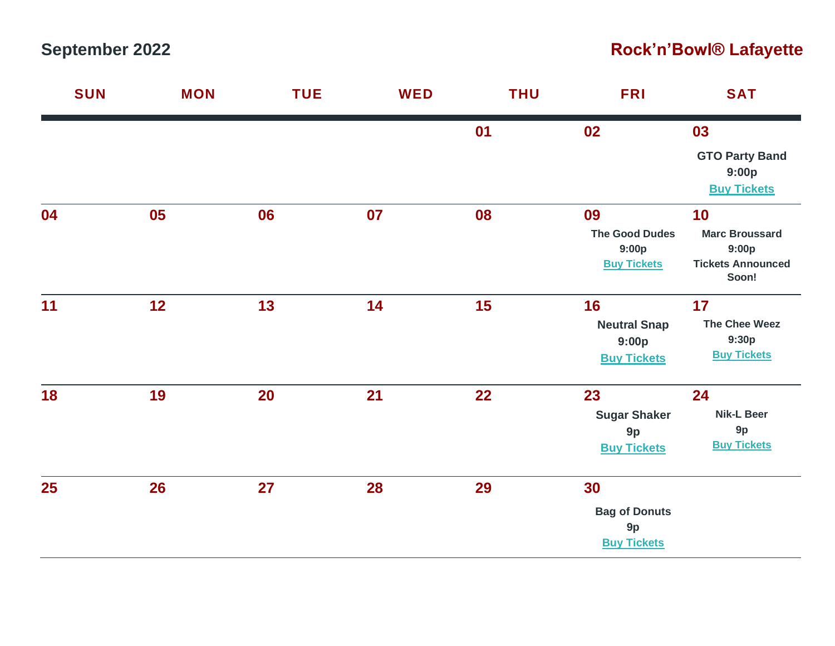# **September 2022 Rock'n'Bowl® Lafayette**

| <b>SUN</b> | <b>MON</b> | <b>TUE</b> | <b>WED</b> | <b>THU</b> | <b>FRI</b>            | <b>SAT</b>                        |
|------------|------------|------------|------------|------------|-----------------------|-----------------------------------|
|            |            |            |            | 01         | 02                    | 03                                |
|            |            |            |            |            |                       | <b>GTO Party Band</b><br>9:00p    |
|            |            |            |            |            |                       | <b>Buy Tickets</b>                |
| 04         | 05         | 06         | 07         | 08         | 09                    | 10                                |
|            |            |            |            |            | <b>The Good Dudes</b> | <b>Marc Broussard</b>             |
|            |            |            |            |            | 9:00p                 | 9:00p                             |
|            |            |            |            |            | <b>Buy Tickets</b>    | <b>Tickets Announced</b><br>Soon! |
| 11         | 12         | 13         | 14         | 15         | 16                    | 17                                |
|            |            |            |            |            | <b>Neutral Snap</b>   | <b>The Chee Weez</b>              |
|            |            |            |            |            | 9:00p                 | 9:30p                             |
|            |            |            |            |            | <b>Buy Tickets</b>    | <b>Buy Tickets</b>                |
| 18         | 19         | <b>20</b>  | 21         | 22         | 23                    | 24                                |
|            |            |            |            |            | <b>Sugar Shaker</b>   | <b>Nik-L Beer</b>                 |
|            |            |            |            |            | 9p                    | 9p                                |
|            |            |            |            |            | <b>Buy Tickets</b>    | <b>Buy Tickets</b>                |
| 25         | 26         | 27         | 28         | 29         | 30                    |                                   |
|            |            |            |            |            | <b>Bag of Donuts</b>  |                                   |
|            |            |            |            |            | 9p                    |                                   |
|            |            |            |            |            | <b>Buy Tickets</b>    |                                   |
|            |            |            |            |            |                       |                                   |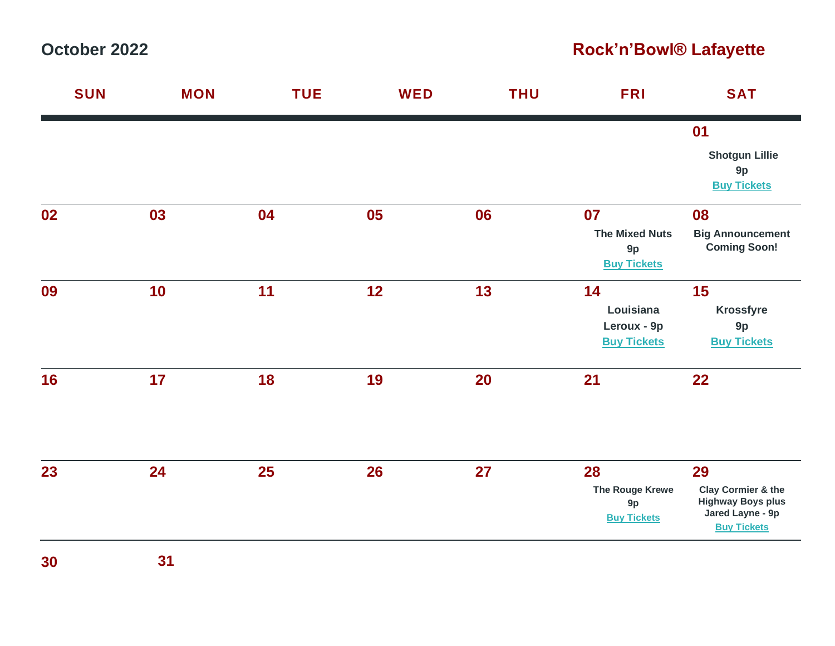**October 2022 Rock'n'Bowl® Lafayette**

| <b>SUN</b> | <b>MON</b> | <b>TUE</b> | <b>WED</b> | <b>THU</b> | <b>FRI</b>                                              | <b>SAT</b>                                                                                                |
|------------|------------|------------|------------|------------|---------------------------------------------------------|-----------------------------------------------------------------------------------------------------------|
|            |            |            |            |            |                                                         | 01<br><b>Shotgun Lillie</b><br>9p<br><b>Buy Tickets</b>                                                   |
| 02         | 03         | 04         | 05         | 06         | 07<br><b>The Mixed Nuts</b><br>9p<br><b>Buy Tickets</b> | 08<br><b>Big Announcement</b><br><b>Coming Soon!</b>                                                      |
| 09         | 10         | 11         | 12         | 13         | 14<br>Louisiana<br>Leroux - 9p<br><b>Buy Tickets</b>    | 15<br><b>Krossfyre</b><br>9p<br><b>Buy Tickets</b>                                                        |
| 16         | 17         | 18         | 19         | 20         | 21                                                      | 22                                                                                                        |
| 23         | 24         | 25         | 26         | 27         | 28<br>The Rouge Krewe<br>9p<br><b>Buy Tickets</b>       | 29<br><b>Clay Cormier &amp; the</b><br><b>Highway Boys plus</b><br>Jared Layne - 9p<br><b>Buy Tickets</b> |

**30 31**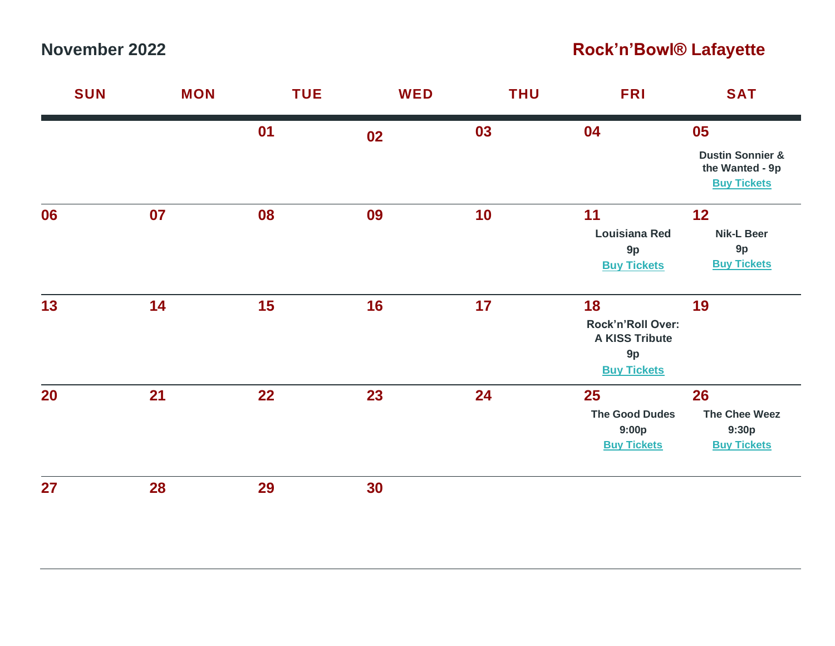#### **November 2022 Rock'n'Bowl® Lafayette**

| <b>SUN</b> | <b>MON</b> | <b>TUE</b> | <b>WED</b> | <b>THU</b> | <b>FRI</b>                                                                   | <b>SAT</b>                                                                 |
|------------|------------|------------|------------|------------|------------------------------------------------------------------------------|----------------------------------------------------------------------------|
|            |            | 01         | 02         | 03         | 04                                                                           | 05<br><b>Dustin Sonnier &amp;</b><br>the Wanted - 9p<br><b>Buy Tickets</b> |
| 06         | 07         | 08         | 09         | 10         | 11<br><b>Louisiana Red</b><br>9p<br><b>Buy Tickets</b>                       | 12<br><b>Nik-L Beer</b><br>9p<br><b>Buy Tickets</b>                        |
| 13         | 14         | 15         | 16         | 17         | 18<br>Rock'n'Roll Over:<br><b>A KISS Tribute</b><br>9p<br><b>Buy Tickets</b> | 19                                                                         |
| 20         | 21         | 22         | 23         | 24         | 25<br><b>The Good Dudes</b><br>9:00p<br><b>Buy Tickets</b>                   | 26<br><b>The Chee Weez</b><br>9:30p<br><b>Buy Tickets</b>                  |
| 27         | 28         | 29         | 30         |            |                                                                              |                                                                            |